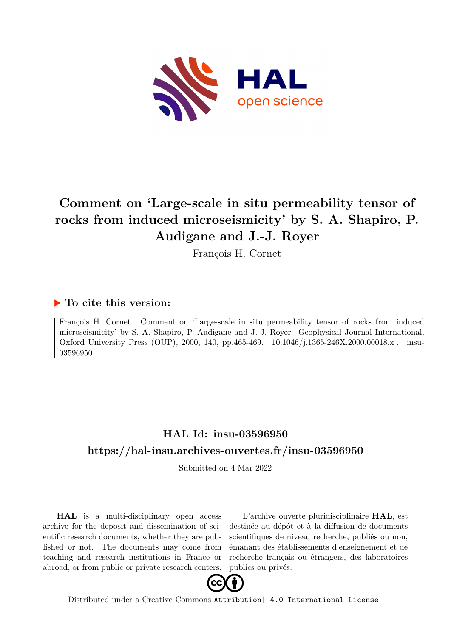

# **Comment on 'Large-scale in situ permeability tensor of rocks from induced microseismicity' by S. A. Shapiro, P. Audigane and J.-J. Royer**

François H. Cornet

### **To cite this version:**

François H. Cornet. Comment on 'Large-scale in situ permeability tensor of rocks from induced microseismicity' by S. A. Shapiro, P. Audigane and J.-J. Royer. Geophysical Journal International, Oxford University Press (OUP), 2000, 140, pp.465-469. 10.1046/j.1365-246X.2000.00018.x. insu-03596950

## **HAL Id: insu-03596950 <https://hal-insu.archives-ouvertes.fr/insu-03596950>**

Submitted on 4 Mar 2022

**HAL** is a multi-disciplinary open access archive for the deposit and dissemination of scientific research documents, whether they are published or not. The documents may come from teaching and research institutions in France or abroad, or from public or private research centers.

L'archive ouverte pluridisciplinaire **HAL**, est destinée au dépôt et à la diffusion de documents scientifiques de niveau recherche, publiés ou non, émanant des établissements d'enseignement et de recherche français ou étrangers, des laboratoires publics ou privés.



Distributed under a Creative Commons [Attribution| 4.0 International License](http://creativecommons.org/licenses/by/4.0/)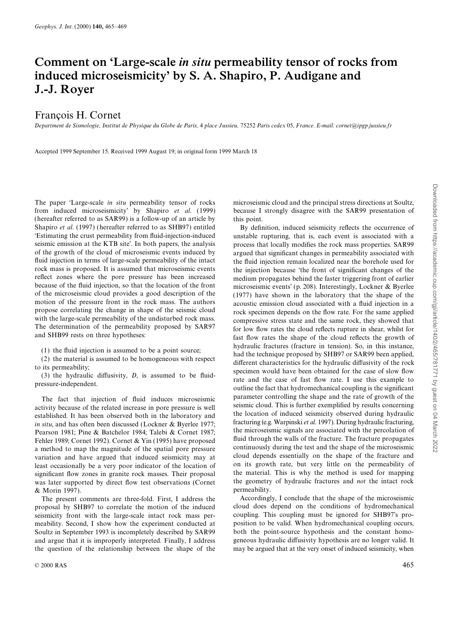### **Comment on 'Large-scale in situ permeability tensor of rocks from induced microseismicity' by S. A. Shapiro, P. Audigane and J.-J. Royer**

#### Francois H. Cornet

Department de Sismologie, Institut de Physique du Globe de Paris, 4 place Jussieu, 75252 Paris cedex 05, France. E-mail: cornet@ipgp.jussieu.fr

Accepted 1999 September 15. Received 1999 August 19; in original form 1999 March 18

The paper 'Large-scale in situ permeability tensor of rocks microseismic cloud and the principal stress directions at Soultz, from induced microseismicity' by Shapiro et al. (1999) because I strongly disagree with the SAR99 presentation of (hereafter referred to as  $SAR99$ ) is a follow-up of an article by this point. Shapiro et al. (1997) (hereafter referred to as SHB97) entitled By definition, induced seismicity reflects the occurrence of 'Estimating the crust permeability from fluid-injection-induced unstable rupturing, that is, each 'Estimating the crust permeability from fluid-injection-induced unstable rupturing, that is, each event is associated with a seismic emission at the KTB site'. In both papers, the analysis process that locally modifies the rock mass properties. SAR99 of the growth of the cloud of microseismic events induced by argued that significant changes in fluid injection in terms of large-scale permeability of the intact the fluid injection remain localized near the borehole used for rock mass is proposed. It is assumed that microseismic events the injection because 'the front of significant changes of the reflect zones where the pore pressure has been increased medium propagates behind the faster trig because of the fluid injection, so that the location of the front microseismic events' (p. 208). Interestingly, Lockner & Byerlee of the microseismic cloud provides a good description of the (1977) have shown in the laboratory that the shape of the motion of the pressure front in the rock mass. The authors acoustic emission cloud associated with a fl motion of the pressure front in the rock mass. The authors acoustic emission cloud associated with a fluid injection in a<br>propose correlating the change in shape of the seismic cloud<br>rock specimen depends on the flow rate.

in situ, and has often been discussed (Lockner & Byerlee 1977;<br>
Pearson 1981; Pine & Batchelor 1984; Talebi & Cornet 1987;<br>
Febler 1989; Cornet 1992), Cornet & Vin (1995) have proposed fluid through the walls of the fract Fehler 1989; Cornet 1992). Cornet & Yin (1995) have proposed fluid through the walls of the fracture. The fracture propagates a method to man the magnitude of the spatial pore pressure continuously during the test and the a method to map the magnitude of the spatial pore pressure continuously during the test and the shape of the microseismic<br>variation and have argued that induced seismicity may at cloud depends essentially on the shape of t variation and have argued that induced seismicity may at cloud depends essentially on the shape of the fracture and<br>least occasionally be a very poor indicator of the location of on its growth rate, but very little on the least occasionally be a very poor indicator of the location of significant flow zones in granite rock masses. Their proposal the material. This is why the method is used for mapping was later supported by direct flow test observations (Cornet the geometry of hydraulic fractures and *n* was later supported by direct flow test observations (Cornet & Morin 1997). permeability.

proposal by SHB97 to correlate the motion of the induced cloud does depend on the conditions of hydromechanical seismicity front with the large-scale intact rock mass per- coupling. This coupling must be ignored for SHB97's promeability. Second, I show how the experiment conducted at position to be valid. When hydromechanical coupling occurs, Soultz in September 1993 is incompletely described by SAR99 both the point-source hypothesis and the constant homoand argue that it is improperly interpreted. Finally, I address geneous hydraulic diffusivity hypothesis are no longer valid. It

argued that significant changes in permeability associated with medium propagates behind the faster triggering front of earlier propose correlating the change in shape of the seismic cloud<br>with the large-scale permeability of the undisturbed rock mass.<br>The determination of the permeability proposed by SAR97<br>and SHB99 rests on three hypotheses:<br>fast (1) the fluid injection is assumed to be a point source;<br>
(2) the material is assumed to be homogeneous with respect<br>
to its permeability;<br>
(3) the hydraulic diffusivity, *D*, is assumed to be fluid-<br>
pressure-independent The fact that injection of fluid induces microseismic<br>activity because of the related increase in pore pressure is well<br>established. It has been observed both in the laboratory and<br>in situ, and has often been discussed (Lo

The present comments are three-fold. First, I address the Accordingly, I conclude that the shape of the microseismic the question of the relationship between the shape of the may be argued that at the very onset of induced seismicity, when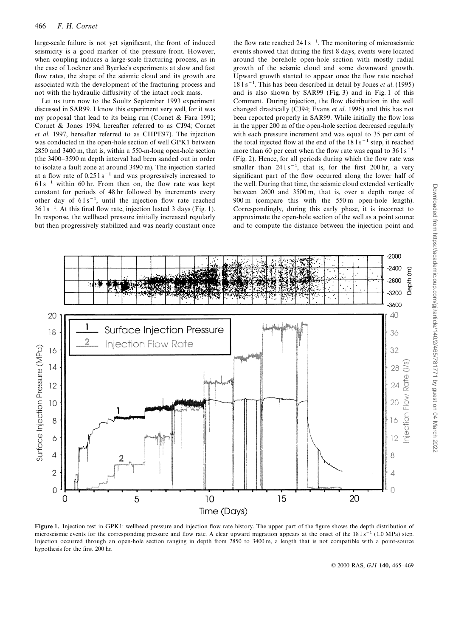large-scale failure is not yet significant, the front of induced the flow rate reached 24 l s−1. The monitoring of microseismic seismicity is a good marker of the pressure front. However, events showed that during the first 8 days, events were located when coupling induces a large-scale fracturing process, as in around the borehole open-hole section with mostly radial the case of Lockner and Byerlee's experiments at slow and fast growth of the seismic cloud and some downward growth. flow rates, the shape of the seismic cloud and its growth are Upward growth started to appear once the flow rate reached associated with the development of the fracturing process and 18 l s<sup>−1</sup>. This has been described in detail by Jones *et al.* (1995) not with the hydraulic diffusivity of the intact rock mass. and is also shown by SAR99 (Fig. 3) and in Fig. 1 of this

discussed in SAR99. I know this experiment very well, for it was changed drastically (CJ94; Evans *et al.* 1996) and this has not my proposal that lead to its being run (Cornet & Fara 1991; been reported properly in SAR99. While initially the flow loss Cornet & Jones 1994, hereafter referred to as CJ94; Cornet in the upper 200 m of the open-hole section decreased regularly et al. 1997, hereafter referred to as CHPE97). The injection with each pressure increment and was equal to 35 per cent of was conducted in the open-hole section of well GPK1 between the total injected flow at the end of the  $181 s^{-1}$  step, it reached 2850 and 3400 m, that is, within a 550-m-long open-hole section more than 60 per cent when the flow rate was equal to  $36 \text{ kg}^{-1}$ (the 3400–3590 m depth interval had been sanded out in order (Fig. 2). Hence, for all periods during which the flow rate was to isolate a fault zone at around 3490 m). The injection started smaller than  $241 \text{ s}^{-1}$ , that is, for the first 200 hr, a very at a flow rate of 0.25 l s<sup>−1</sup> and was progressively increased to significant part of the flow occurred along the lower half of 6ls−1 within 60 hr. From then on, the flow rate was kept the well. During that time, the seismic cloud extended vertically constant for periods of 48 hr followed by increments every between 2600 and 3500 m, that is, over a depth range of other day of 61s<sup>-1</sup>, until the injection flow rate reached 900 m (compare this with the 550 m open-hole length). 36 l s−1. At this final flow rate, injection lasted 3 days (Fig. 1). Correspondingly, during this early phase, it is incorrect to In response, the wellhead pressure initially increased regularly approximate the open-hole section of the well as a point source but then progressively stabilized and was nearly constant once and to compute the distance between the injection point and

Let us turn now to the Soultz September 1993 experiment Comment. During injection, the flow distribution in the well



Figure 1. Injection test in GPK1: wellhead pressure and injection flow rate history. The upper part of the figure shows the depth distribution of microseismic events for the corresponding pressure and flow rate. A clear upward migration appears at the onset of the 181s<sup>-1</sup> (1.0 MPa) step. Injection occurred through an open-hole section ranging in depth from 2850 to 3400 m, a length that is not compatible with a point-source hypothesis for the first 200 hr.

© 2000 RAS, GJI **140,** 465–469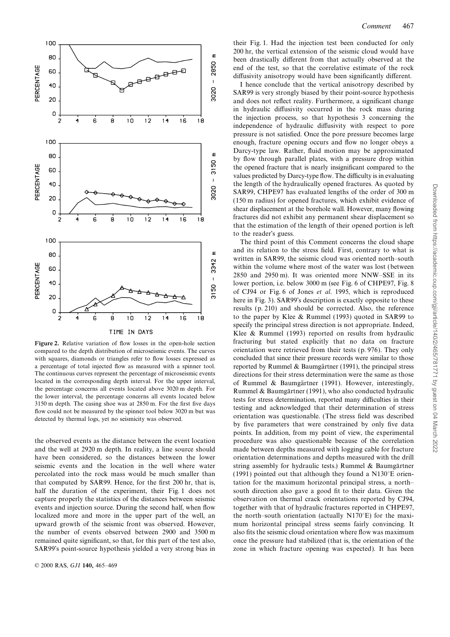

compared to the depth distribution of microseismic events. The curves with squares, diamonds or triangles refer to flow losses expressed as concluded that since their pressure records were similar to those a percentage of total injected flow as measured with a spinner tool. reported by Rummel & Baumgärtner (1991), the principal stress<br>The continuous curves represent the percentage of microseismic events directions for their The continuous curves represent the percentage of microseismic events directions for their stress determination were the same as those located in the corresponding depth interval. For the upper interval, of Rummel & Baumo

the observed events as the distance between the event location procedure was also questionable because of the correlation and the well at 2920 m depth. In reality, a line source should made between depths measured with logging cable for fracture have been considered, so the distances between the lower orientation determinations and depths measured with the drill seismic events and the location in the well where water string assembly for hydraulic tests.) Rummel  $\&$  Baumgärtner percolated into the rock mass would be much smaller than (1991) pointed out that although they found a N130°E orienthat computed by SAR99. Hence, for the first 200 hr, that is, tation for the maximum horizontal principal stress, a north– half the duration of the experiment, their Fig. 1 does not south direction also gave a good fit to their data. Given the capture properly the statistics of the distances between seismic observation on thermal crack orientations reported by CJ94, events and injection source. During the second half, when flow together with that of hydraulic fractures reported in CHPE97, localized more and more in the upper part of the well, an the north–south orientation (actually N170°E) for the maxiupward growth of the seismic front was observed. However, mum horizontal principal stress seems fairly convincing. It the number of events observed between 2900 and 3500 m also fits the seismic cloud orientation where flow was maximum remained quite significant, so that, for this part of the test also, once the pressure had stabilized (that is, the orientation of the SAR99's point-source hypothesis yielded a very strong bias in zone in which fracture opening was expected). It has been

their Fig. 1. Had the injection test been conducted for only 200 hr, the vertical extension of the seismic cloud would have been drastically different from that actually observed at the end of the test, so that the correlative estimate of the rock diffusivity anisotropy would have been significantly different.

I hence conclude that the vertical anisotropy described by SAR99 is very strongly biased by their point-source hypothesis and does not reflect reality. Furthermore, a significant change in hydraulic diffusivity occurred in the rock mass during the injection process, so that hypothesis 3 concerning the independence of hydraulic diffusivity with respect to pore pressure is not satisfied. Once the pore pressure becomes large enough, fracture opening occurs and flow no longer obeys a Darcy-type law. Rather, fluid motion may be approximated by flow through parallel plates, with a pressure drop within the opened fracture that is nearly insignificant compared to the values predicted by Darcy-type flow. The difficulty is in evaluating the length of the hydraulically opened fractures. As quoted by SAR99, CHPE97 has evaluated lengths of the order of 300 m (150 m radius) for opened fractures, which exhibit evidence of shear displacement at the borehole wall. However, many flowing fractures did not exhibit any permanent shear displacement so that the estimation of the length of their opened portion is left to the reader's guess.

The third point of this Comment concerns the cloud shape and its relation to the stress field. First, contrary to what is written in SAR99, the seismic cloud was oriented north–south within the volume where most of the water was lost (between 2850 and 2950 m). It was oriented more NNW–SSE in its lower portion, i.e. below 3000 m (see Fig. 6 of CHPE97, Fig. 8 of CJ94 or Fig. 6 of Jones et al. 1995, which is reproduced here in Fig. 3). SAR99's description is exactly opposite to these results (p. 210) and should be corrected. Also, the reference to the paper by Klee & Rummel (1993) quoted in SAR99 to specify the principal stress direction is not appropriate. Indeed, Klee & Rummel (1993) reported on results from hydraulic **Figure 2.** Relative variation of flow losses in the open-hole section fracturing but stated explicitly that no data on fracture compared to the depth distribution of microseismic events. The curves orientation were retrie located in the corresponding depth interval. For the upper interval,<br>the percentage concerns all events located above 3020 m depth. For<br>the lower interval, the percentage concerns all events located below<br>3150 m depth. The points. In addition, from my point of view, the experimental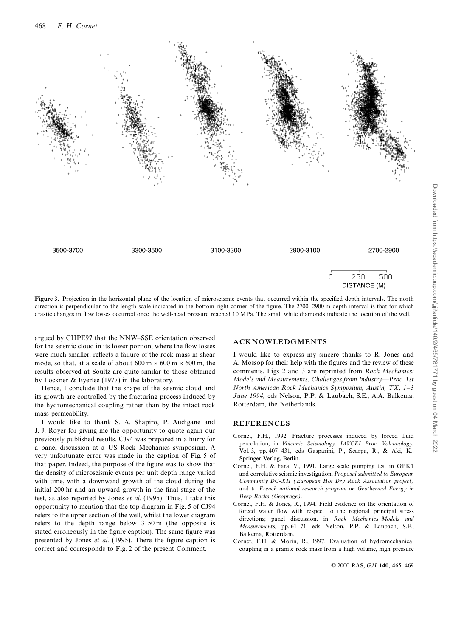

**Figure 3.** Projection in the horizontal plane of the location of microseismic events that occurred within the specified depth intervals. The north direction is perpendicular to the length scale indicated in the bottom right corner of the figure. The 2700–2900 m depth interval is that for which drastic changes in flow losses occurred once the well-head pressure reached 10 MPa. The small white diamonds indicate the location of the well.

argued by CHPE97 that the NNW–SSE orientation observed<br>
for the seismic cloud in its lower portion, where the flow losses **ACKNOWLEDGMENTS** were much smaller, reflects a failure of the rock mass in shear I would like to express my sincere thanks to R. Jones and

its growth are controlled by the fracturing process induced by June 1994, eds Nelson, P.P. & Laubach, S.E., A.A. Balkema, the hydromechanical coupling rather than by the intact rock Rotterdam, the Netherlands. mass permeability.

I would like to thank S. A. Shapiro, P. Audigane and **REFERENCES** U.-J. Royer for giving me the opportunity to quote again our<br>previously published results. CJ94 was prepared in a hurry for<br>a panel discussion at a US Rock Mechanics symposium. A<br>very unfortunate error was made in the capt the density of microseismic events per unit depth range varied and correlative seismic investigation, *Proposal submitted to European* with time, with a downward growth of the cloud during the Community DG-XII (European Hot Dry Rock Association project)<br>initial 200 hr and an unward growth in the final stage of the and to French national research program o initial 200 hr and an upward growth in the final stage of the and to French national rest as also reported by Jones *et al.* (1995) Thus I take this *Deep Rocks (Geoproge)*. test, as also reported by Jones *et al.* (1995). Thus, I take this *Deep Rocks (Geoproge)*.<br>
opportunity to mention that the top diagram in Fig. 5 of CJ94<br>
refers to the upper section of the well, whilst the lower diagram<br> presented by Jones et al. (1995). There the figure caption is Cornet, F.H. & Morin, R., 1997. Evaluation of hydromechanical correct and corresponds to Fig. 2 of the present Comment. coupling in a granite rock mass from a high volume, high pressure

mode, so that, at a scale of about 600 m  $\times$  600 m  $\times$  600 m, the A. Mossop for their help with the figures and the review of these results observed at Soultz are quite similar to those obtained comments. Figs 2 and 3 are reprinted from Rock Mechanics: by Lockner & Byerlee (1977) in the laboratory. Models and Measurements, Challenges from Industry—Proc. 1st Hence, I conclude that the shape of the seismic cloud and North American Rock Mechanics Symposium, Austin, TX,  $1-3$ 

- 
- 
- 
-